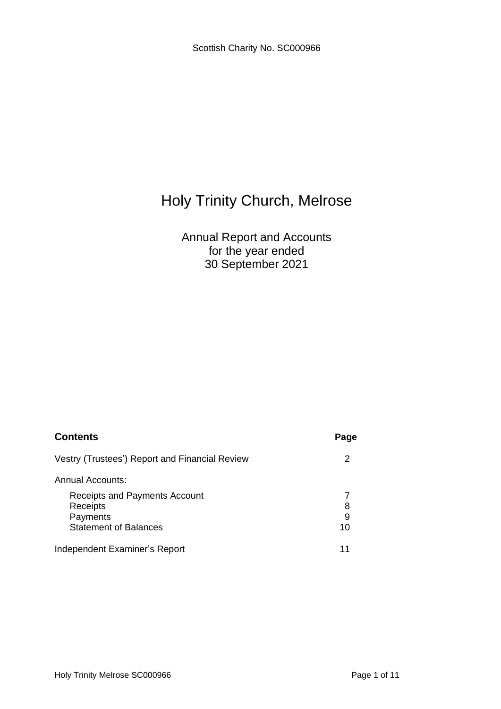# Annual Report and Accounts for the year ended 30 September 2021

| <b>Contents</b>                                                                       | Page         |
|---------------------------------------------------------------------------------------|--------------|
| Vestry (Trustees') Report and Financial Review                                        | 2            |
| Annual Accounts:                                                                      |              |
| Receipts and Payments Account<br>Receipts<br>Payments<br><b>Statement of Balances</b> | 8<br>9<br>10 |
| Independent Examiner's Report                                                         | 11           |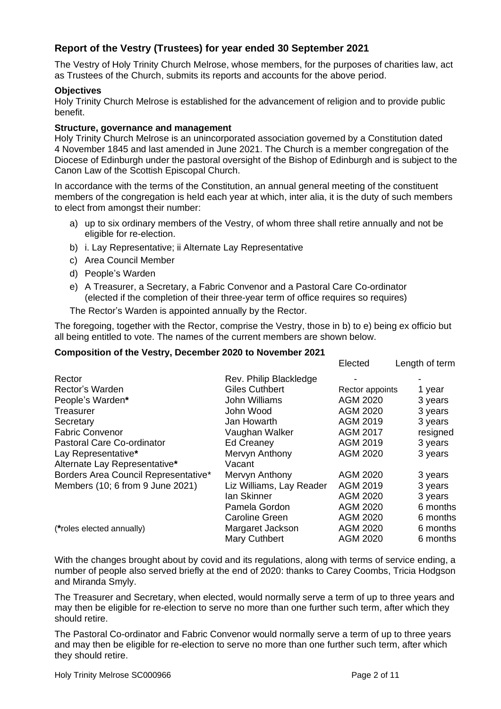# **Report of the Vestry (Trustees) for year ended 30 September 2021**

The Vestry of Holy Trinity Church Melrose, whose members, for the purposes of charities law, act as Trustees of the Church, submits its reports and accounts for the above period.

#### **Objectives**

Holy Trinity Church Melrose is established for the advancement of religion and to provide public benefit.

#### **Structure, governance and management**

Holy Trinity Church Melrose is an unincorporated association governed by a Constitution dated 4 November 1845 and last amended in June 2021. The Church is a member congregation of the Diocese of Edinburgh under the pastoral oversight of the Bishop of Edinburgh and is subject to the Canon Law of the Scottish Episcopal Church.

In accordance with the terms of the Constitution, an annual general meeting of the constituent members of the congregation is held each year at which, inter alia, it is the duty of such members to elect from amongst their number:

- a) up to six ordinary members of the Vestry, of whom three shall retire annually and not be eligible for re-election.
- b) i. Lay Representative; ii Alternate Lay Representative
- c) Area Council Member
- d) People's Warden
- e) A Treasurer, a Secretary, a Fabric Convenor and a Pastoral Care Co-ordinator (elected if the completion of their three-year term of office requires so requires)

The Rector's Warden is appointed annually by the Rector.

The foregoing, together with the Rector, comprise the Vestry, those in b) to e) being ex officio but all being entitled to vote. The names of the current members are shown below.

#### **Composition of the Vestry, December 2020 to November 2021**

|                                      |                          | LICULCU         | <b>Lenguror</b> term |
|--------------------------------------|--------------------------|-----------------|----------------------|
| Rector                               | Rev. Philip Blackledge   |                 |                      |
| Rector's Warden                      | <b>Giles Cuthbert</b>    | Rector appoints | 1 year               |
| People's Warden*                     | John Williams            | AGM 2020        | 3 years              |
| Treasurer                            | John Wood                | AGM 2020        | 3 years              |
| Secretary                            | Jan Howarth              | AGM 2019        | 3 years              |
| <b>Fabric Convenor</b>               | Vaughan Walker           | <b>AGM 2017</b> | resigned             |
| Pastoral Care Co-ordinator           | <b>Ed Creaney</b>        | AGM 2019        | 3 years              |
| Lay Representative*                  | Mervyn Anthony           | AGM 2020        | 3 years              |
| Alternate Lay Representative*        | Vacant                   |                 |                      |
| Borders Area Council Representative* | Mervyn Anthony           | AGM 2020        | 3 years              |
| Members (10; 6 from 9 June 2021)     | Liz Williams, Lay Reader | AGM 2019        | 3 years              |
|                                      | lan Skinner              | AGM 2020        | 3 years              |
|                                      | Pamela Gordon            | AGM 2020        | 6 months             |
|                                      | <b>Caroline Green</b>    | AGM 2020        | 6 months             |
| (*roles elected annually)            | Margaret Jackson         | AGM 2020        | 6 months             |
|                                      | <b>Mary Cuthbert</b>     | <b>AGM 2020</b> | 6 months             |

With the changes brought about by covid and its regulations, along with terms of service ending, a number of people also served briefly at the end of 2020: thanks to Carey Coombs, Tricia Hodgson and Miranda Smyly.

The Treasurer and Secretary, when elected, would normally serve a term of up to three years and may then be eligible for re-election to serve no more than one further such term, after which they should retire.

The Pastoral Co-ordinator and Fabric Convenor would normally serve a term of up to three years and may then be eligible for re-election to serve no more than one further such term, after which they should retire.

Elected Length of term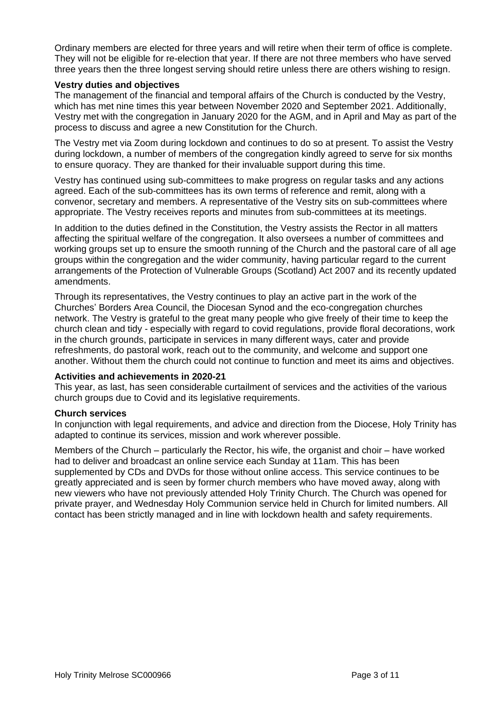Ordinary members are elected for three years and will retire when their term of office is complete. They will not be eligible for re-election that year. If there are not three members who have served three years then the three longest serving should retire unless there are others wishing to resign.

#### **Vestry duties and objectives**

The management of the financial and temporal affairs of the Church is conducted by the Vestry, which has met nine times this year between November 2020 and September 2021. Additionally, Vestry met with the congregation in January 2020 for the AGM, and in April and May as part of the process to discuss and agree a new Constitution for the Church.

The Vestry met via Zoom during lockdown and continues to do so at present. To assist the Vestry during lockdown, a number of members of the congregation kindly agreed to serve for six months to ensure quoracy. They are thanked for their invaluable support during this time.

Vestry has continued using sub-committees to make progress on regular tasks and any actions agreed. Each of the sub-committees has its own terms of reference and remit, along with a convenor, secretary and members. A representative of the Vestry sits on sub-committees where appropriate. The Vestry receives reports and minutes from sub-committees at its meetings.

In addition to the duties defined in the Constitution, the Vestry assists the Rector in all matters affecting the spiritual welfare of the congregation. It also oversees a number of committees and working groups set up to ensure the smooth running of the Church and the pastoral care of all age groups within the congregation and the wider community, having particular regard to the current arrangements of the Protection of Vulnerable Groups (Scotland) Act 2007 and its recently updated amendments.

Through its representatives, the Vestry continues to play an active part in the work of the Churches' Borders Area Council, the Diocesan Synod and the eco-congregation churches network. The Vestry is grateful to the great many people who give freely of their time to keep the church clean and tidy - especially with regard to covid regulations, provide floral decorations, work in the church grounds, participate in services in many different ways, cater and provide refreshments, do pastoral work, reach out to the community, and welcome and support one another. Without them the church could not continue to function and meet its aims and objectives.

#### **Activities and achievements in 2020-21**

This year, as last, has seen considerable curtailment of services and the activities of the various church groups due to Covid and its legislative requirements.

#### **Church services**

In conjunction with legal requirements, and advice and direction from the Diocese, Holy Trinity has adapted to continue its services, mission and work wherever possible.

Members of the Church – particularly the Rector, his wife, the organist and choir – have worked had to deliver and broadcast an online service each Sunday at 11am. This has been supplemented by CDs and DVDs for those without online access. This service continues to be greatly appreciated and is seen by former church members who have moved away, along with new viewers who have not previously attended Holy Trinity Church. The Church was opened for private prayer, and Wednesday Holy Communion service held in Church for limited numbers. All contact has been strictly managed and in line with lockdown health and safety requirements.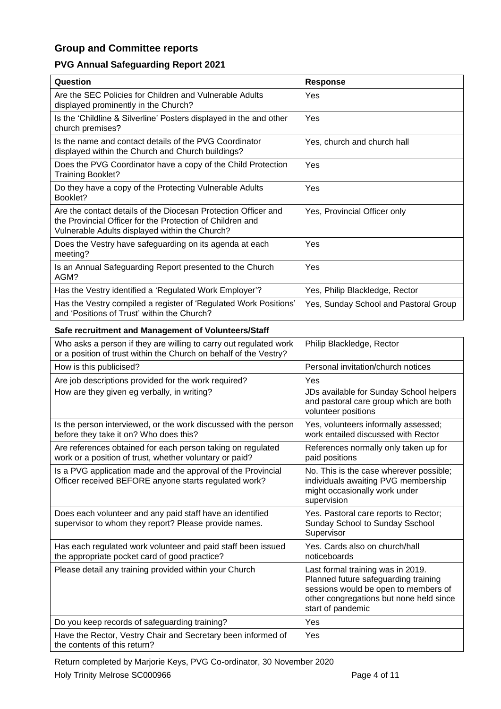# **Group and Committee reports**

# **PVG Annual Safeguarding Report 2021**

| Question                                                                                                                                                                      | <b>Response</b>                                                                                                                                                                   |
|-------------------------------------------------------------------------------------------------------------------------------------------------------------------------------|-----------------------------------------------------------------------------------------------------------------------------------------------------------------------------------|
| Are the SEC Policies for Children and Vulnerable Adults<br>displayed prominently in the Church?                                                                               | Yes                                                                                                                                                                               |
| Is the 'Childline & Silverline' Posters displayed in the and other<br>church premises?                                                                                        | Yes                                                                                                                                                                               |
| Is the name and contact details of the PVG Coordinator<br>displayed within the Church and Church buildings?                                                                   | Yes, church and church hall                                                                                                                                                       |
| Does the PVG Coordinator have a copy of the Child Protection<br><b>Training Booklet?</b>                                                                                      | Yes                                                                                                                                                                               |
| Do they have a copy of the Protecting Vulnerable Adults<br>Booklet?                                                                                                           | Yes                                                                                                                                                                               |
| Are the contact details of the Diocesan Protection Officer and<br>the Provincial Officer for the Protection of Children and<br>Vulnerable Adults displayed within the Church? | Yes, Provincial Officer only                                                                                                                                                      |
| Does the Vestry have safeguarding on its agenda at each<br>meeting?                                                                                                           | Yes                                                                                                                                                                               |
| Is an Annual Safeguarding Report presented to the Church<br>AGM?                                                                                                              | Yes                                                                                                                                                                               |
| Has the Vestry identified a 'Regulated Work Employer'?                                                                                                                        | Yes, Philip Blackledge, Rector                                                                                                                                                    |
| Has the Vestry compiled a register of 'Regulated Work Positions'<br>and 'Positions of Trust' within the Church?                                                               | Yes, Sunday School and Pastoral Group                                                                                                                                             |
| Safe recruitment and Management of Volunteers/Staff                                                                                                                           |                                                                                                                                                                                   |
| Who asks a person if they are willing to carry out regulated work<br>or a position of trust within the Church on behalf of the Vestry?                                        | Philip Blackledge, Rector                                                                                                                                                         |
| How is this publicised?                                                                                                                                                       | Personal invitation/church notices                                                                                                                                                |
| Are job descriptions provided for the work required?                                                                                                                          | Yes                                                                                                                                                                               |
| How are they given eg verbally, in writing?                                                                                                                                   | JDs available for Sunday School helpers<br>and pastoral care group which are both<br>volunteer positions                                                                          |
| Is the person interviewed, or the work discussed with the person<br>before they take it on? Who does this?                                                                    | Yes, volunteers informally assessed;<br>work entailed discussed with Rector                                                                                                       |
| Are references obtained for each person taking on regulated<br>work or a position of trust, whether voluntary or paid?                                                        | References normally only taken up for<br>paid positions                                                                                                                           |
| Is a PVG application made and the approval of the Provincial<br>Officer received BEFORE anyone starts regulated work?                                                         | No. This is the case wherever possible;<br>individuals awaiting PVG membership<br>might occasionally work under<br>supervision                                                    |
| Does each volunteer and any paid staff have an identified<br>supervisor to whom they report? Please provide names.                                                            | Yes. Pastoral care reports to Rector;<br>Sunday School to Sunday Sschool<br>Supervisor                                                                                            |
| Has each regulated work volunteer and paid staff been issued<br>the appropriate pocket card of good practice?                                                                 | Yes. Cards also on church/hall<br>noticeboards                                                                                                                                    |
| Please detail any training provided within your Church                                                                                                                        | Last formal training was in 2019.<br>Planned future safeguarding training<br>sessions would be open to members of<br>other congregations but none held since<br>start of pandemic |
| Do you keep records of safeguarding training?                                                                                                                                 | Yes                                                                                                                                                                               |
| Have the Rector, Vestry Chair and Secretary been informed of<br>the contents of this return?                                                                                  | Yes                                                                                                                                                                               |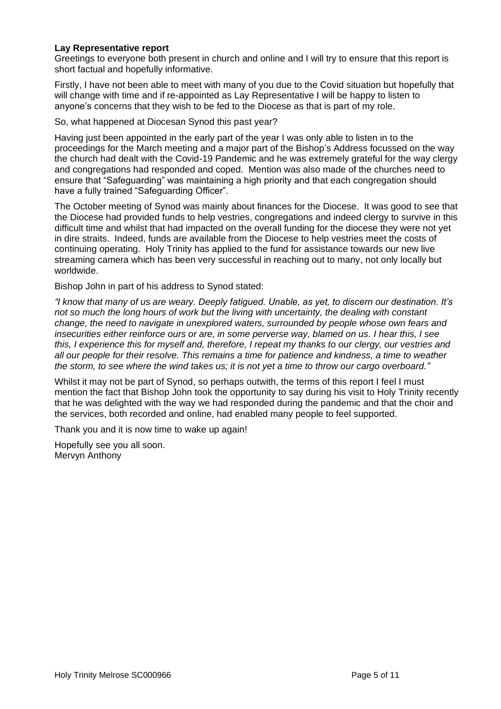#### **Lay Representative report**

Greetings to everyone both present in church and online and I will try to ensure that this report is short factual and hopefully informative.

Firstly, I have not been able to meet with many of you due to the Covid situation but hopefully that will change with time and if re-appointed as Lay Representative I will be happy to listen to anyone's concerns that they wish to be fed to the Diocese as that is part of my role.

So, what happened at Diocesan Synod this past year?

Having just been appointed in the early part of the year I was only able to listen in to the proceedings for the March meeting and a major part of the Bishop's Address focussed on the way the church had dealt with the Covid-19 Pandemic and he was extremely grateful for the way clergy and congregations had responded and coped. Mention was also made of the churches need to ensure that "Safeguarding" was maintaining a high priority and that each congregation should have a fully trained "Safeguarding Officer".

The October meeting of Synod was mainly about finances for the Diocese. It was good to see that the Diocese had provided funds to help vestries, congregations and indeed clergy to survive in this difficult time and whilst that had impacted on the overall funding for the diocese they were not yet in dire straits. Indeed, funds are available from the Diocese to help vestries meet the costs of continuing operating. Holy Trinity has applied to the fund for assistance towards our new live streaming camera which has been very successful in reaching out to many, not only locally but worldwide.

Bishop John in part of his address to Synod stated:

*"I know that many of us are weary. Deeply fatigued. Unable, as yet, to discern our destination. It's not so much the long hours of work but the living with uncertainty, the dealing with constant change, the need to navigate in unexplored waters, surrounded by people whose own fears and insecurities either reinforce ours or are, in some perverse way, blamed on us. I hear this, I see this, I experience this for myself and, therefore, I repeat my thanks to our clergy, our vestries and all our people for their resolve. This remains a time for patience and kindness, a time to weather the storm, to see where the wind takes us; it is not yet a time to throw our cargo overboard."* 

Whilst it may not be part of Synod, so perhaps outwith, the terms of this report I feel I must mention the fact that Bishop John took the opportunity to say during his visit to Holy Trinity recently that he was delighted with the way we had responded during the pandemic and that the choir and the services, both recorded and online, had enabled many people to feel supported.

Thank you and it is now time to wake up again!

Hopefully see you all soon. Mervyn Anthony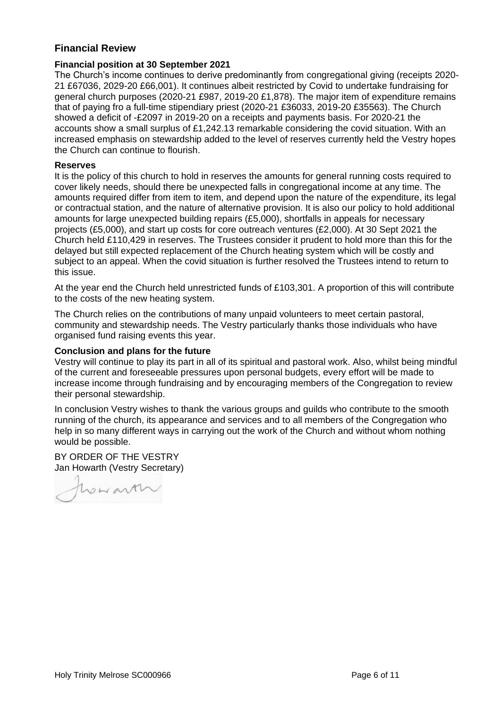## **Financial Review**

#### **Financial position at 30 September 2021**

The Church's income continues to derive predominantly from congregational giving (receipts 2020- 21 £67036, 2029-20 £66,001). It continues albeit restricted by Covid to undertake fundraising for general church purposes (2020-21 £987, 2019-20 £1,878). The major item of expenditure remains that of paying fro a full-time stipendiary priest (2020-21 £36033, 2019-20 £35563). The Church showed a deficit of -£2097 in 2019-20 on a receipts and payments basis. For 2020-21 the accounts show a small surplus of £1,242.13 remarkable considering the covid situation. With an increased emphasis on stewardship added to the level of reserves currently held the Vestry hopes the Church can continue to flourish.

#### **Reserves**

It is the policy of this church to hold in reserves the amounts for general running costs required to cover likely needs, should there be unexpected falls in congregational income at any time. The amounts required differ from item to item, and depend upon the nature of the expenditure, its legal or contractual station, and the nature of alternative provision. It is also our policy to hold additional amounts for large unexpected building repairs (£5,000), shortfalls in appeals for necessary projects (£5,000), and start up costs for core outreach ventures (£2,000). At 30 Sept 2021 the Church held £110,429 in reserves. The Trustees consider it prudent to hold more than this for the delayed but still expected replacement of the Church heating system which will be costly and subject to an appeal. When the covid situation is further resolved the Trustees intend to return to this issue.

At the year end the Church held unrestricted funds of £103,301. A proportion of this will contribute to the costs of the new heating system.

The Church relies on the contributions of many unpaid volunteers to meet certain pastoral, community and stewardship needs. The Vestry particularly thanks those individuals who have organised fund raising events this year.

#### **Conclusion and plans for the future**

Vestry will continue to play its part in all of its spiritual and pastoral work. Also, whilst being mindful of the current and foreseeable pressures upon personal budgets, every effort will be made to increase income through fundraising and by encouraging members of the Congregation to review their personal stewardship.

In conclusion Vestry wishes to thank the various groups and guilds who contribute to the smooth running of the church, its appearance and services and to all members of the Congregation who help in so many different ways in carrying out the work of the Church and without whom nothing would be possible.

BY ORDER OF THE VESTRY Jan Howarth (Vestry Secretary)

howarth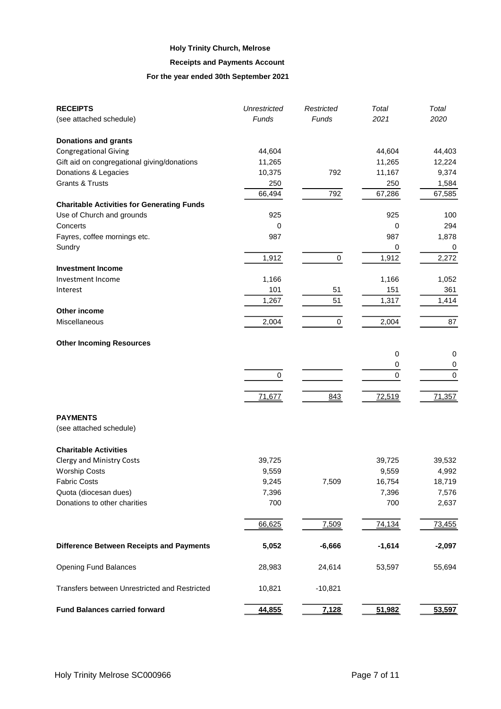#### **Receipts and Payments Account**

#### **For the year ended 30th September 2021**

| <b>RECEIPTS</b>                                   | <b>Unrestricted</b> | Restricted | Total            | Total            |
|---------------------------------------------------|---------------------|------------|------------------|------------------|
| (see attached schedule)                           | Funds               | Funds      | 2021             | 2020             |
| <b>Donations and grants</b>                       |                     |            |                  |                  |
| <b>Congregational Giving</b>                      | 44,604              |            | 44,604           | 44,403           |
| Gift aid on congregational giving/donations       | 11,265              |            | 11,265           | 12,224           |
| Donations & Legacies                              | 10,375              | 792        | 11,167           | 9,374            |
| <b>Grants &amp; Trusts</b>                        | 250                 |            | 250              | 1,584            |
|                                                   | 66,494              | 792        | 67,286           | 67,585           |
| <b>Charitable Activities for Generating Funds</b> |                     |            |                  |                  |
| Use of Church and grounds                         | 925                 |            | 925              | 100              |
| Concerts                                          | 0                   |            | 0                | 294              |
| Fayres, coffee mornings etc.                      | 987                 |            | 987              | 1,878            |
| Sundry                                            |                     |            | 0                | 0                |
|                                                   | 1,912               | $\pmb{0}$  | 1,912            | 2,272            |
| <b>Investment Income</b>                          |                     |            |                  |                  |
| Investment Income                                 | 1,166               |            | 1,166            | 1,052            |
| Interest                                          | 101                 | 51         | 151              | 361              |
|                                                   | 1,267               | 51         | 1,317            | 1,414            |
| Other income                                      |                     |            |                  |                  |
| Miscellaneous                                     | 2,004               | 0          | 2,004            | 87               |
|                                                   |                     |            |                  |                  |
| <b>Other Incoming Resources</b>                   |                     |            |                  |                  |
|                                                   |                     |            | 0                | 0                |
|                                                   |                     |            |                  |                  |
|                                                   |                     |            | 0<br>$\mathbf 0$ | 0                |
|                                                   | 0                   |            |                  | $\boldsymbol{0}$ |
|                                                   |                     |            |                  |                  |
|                                                   | 71,677              | 843        | 72,519           | 71,357           |
| <b>PAYMENTS</b>                                   |                     |            |                  |                  |
| (see attached schedule)                           |                     |            |                  |                  |
| <b>Charitable Activities</b>                      |                     |            |                  |                  |
| <b>Clergy and Ministry Costs</b>                  | 39,725              |            | 39,725           | 39,532           |
| <b>Worship Costs</b>                              | 9,559               |            | 9,559            | 4,992            |
| <b>Fabric Costs</b>                               | 9,245               | 7,509      | 16,754           | 18,719           |
| Quota (diocesan dues)                             | 7,396               |            | 7,396            | 7,576            |
| Donations to other charities                      | 700                 |            | 700              | 2,637            |
|                                                   |                     |            |                  |                  |
|                                                   | 66,625              | 7,509      | 74,134           | 73,455           |
| <b>Difference Between Receipts and Payments</b>   | 5,052               | $-6,666$   | $-1,614$         | $-2,097$         |
| <b>Opening Fund Balances</b>                      | 28,983              | 24,614     | 53,597           | 55,694           |
| Transfers between Unrestricted and Restricted     | 10,821              | $-10,821$  |                  |                  |
| <b>Fund Balances carried forward</b>              | 44,855              | 7,128      | 51,982           | 53,597           |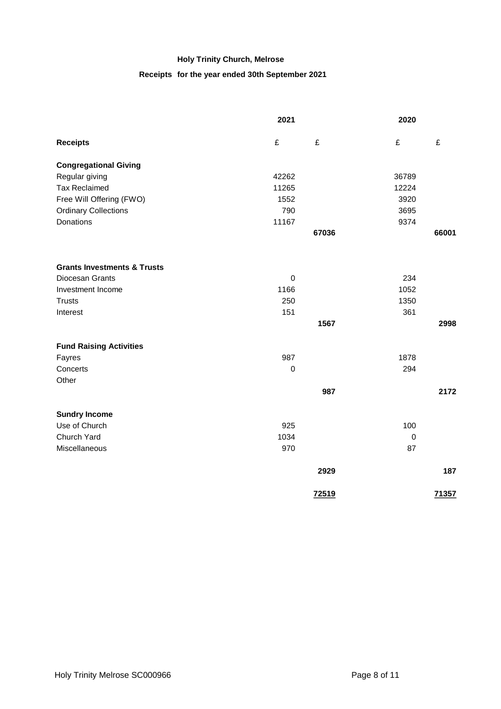## **Receipts for the year ended 30th September 2021**

|                                        | 2021        |       | 2020             |       |
|----------------------------------------|-------------|-------|------------------|-------|
| <b>Receipts</b>                        | £           | £     | £                | £     |
| <b>Congregational Giving</b>           |             |       |                  |       |
| Regular giving                         | 42262       |       | 36789            |       |
| <b>Tax Reclaimed</b>                   | 11265       |       | 12224            |       |
| Free Will Offering (FWO)               | 1552        |       | 3920             |       |
| <b>Ordinary Collections</b>            | 790         |       | 3695             |       |
| Donations                              | 11167       |       | 9374             |       |
|                                        |             | 67036 |                  | 66001 |
| <b>Grants Investments &amp; Trusts</b> |             |       |                  |       |
| Diocesan Grants                        | $\mathbf 0$ |       | 234              |       |
| Investment Income                      | 1166        |       | 1052             |       |
| <b>Trusts</b>                          | 250         |       | 1350             |       |
| Interest                               | 151         |       | 361              |       |
|                                        |             | 1567  |                  | 2998  |
|                                        |             |       |                  |       |
| <b>Fund Raising Activities</b>         |             |       |                  |       |
| Fayres                                 | 987         |       | 1878             |       |
| Concerts                               | $\pmb{0}$   |       | 294              |       |
| Other                                  |             |       |                  |       |
|                                        |             | 987   |                  | 2172  |
| <b>Sundry Income</b>                   |             |       |                  |       |
| Use of Church                          | 925         |       | 100              |       |
| Church Yard                            | 1034        |       | $\boldsymbol{0}$ |       |
| Miscellaneous                          | 970         |       | 87               |       |
|                                        |             | 2929  |                  | 187   |
|                                        |             | 72519 |                  | 71357 |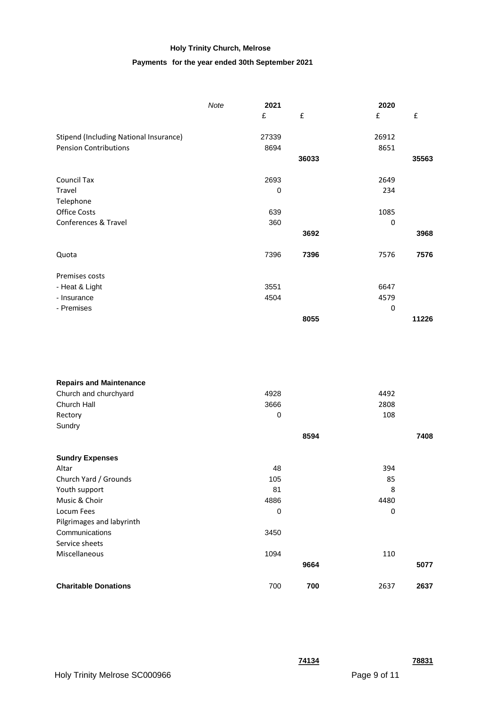#### **Payments for the year ended 30th September 2021**

|                                        | Note | 2021  |                    | 2020  |       |
|----------------------------------------|------|-------|--------------------|-------|-------|
|                                        |      | £     | $\pmb{\mathsf{f}}$ | £     | £     |
| Stipend (Including National Insurance) |      | 27339 |                    | 26912 |       |
| <b>Pension Contributions</b>           |      | 8694  |                    | 8651  |       |
|                                        |      |       | 36033              |       | 35563 |
| Council Tax                            |      | 2693  |                    | 2649  |       |
| Travel                                 |      | 0     |                    | 234   |       |
| Telephone                              |      |       |                    |       |       |
| <b>Office Costs</b>                    |      | 639   |                    | 1085  |       |
| Conferences & Travel                   |      | 360   |                    | 0     |       |
|                                        |      |       | 3692               |       | 3968  |
| Quota                                  |      | 7396  | 7396               | 7576  | 7576  |
| Premises costs                         |      |       |                    |       |       |
| - Heat & Light                         |      | 3551  |                    | 6647  |       |
| - Insurance                            |      | 4504  |                    | 4579  |       |
| - Premises                             |      |       |                    | 0     |       |
|                                        |      |       | 8055               |       | 11226 |

| 4928        |      | 4492 |      |
|-------------|------|------|------|
| 3666        |      | 2808 |      |
| 0           |      | 108  |      |
|             |      |      |      |
|             | 8594 |      | 7408 |
|             |      |      |      |
| 48          |      | 394  |      |
| 105         |      | 85   |      |
| 81          |      | 8    |      |
| 4886        |      | 4480 |      |
| $\mathbf 0$ |      | 0    |      |
|             |      |      |      |
| 3450        |      |      |      |
|             |      |      |      |
| 1094        |      | 110  |      |
|             | 9664 |      | 5077 |
| 700         | 700  | 2637 | 2637 |
|             |      |      |      |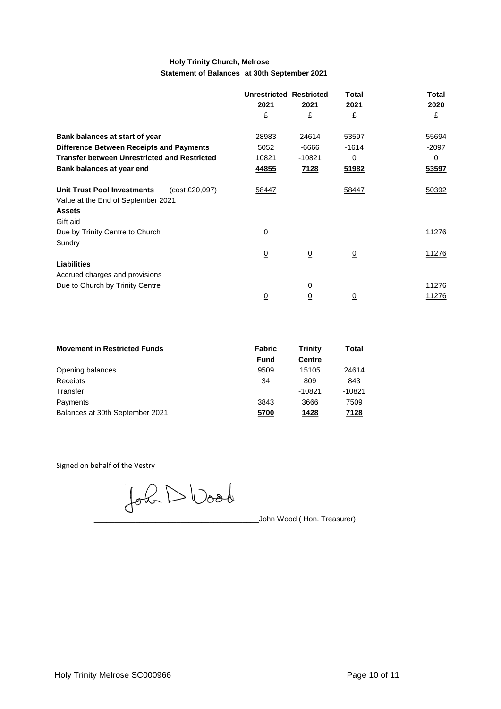#### **Holy Trinity Church, Melrose Statement of Balances at 30th September 2021**

|                                                      | <b>Unrestricted Restricted</b> |                | Total          | <b>Total</b> |
|------------------------------------------------------|--------------------------------|----------------|----------------|--------------|
|                                                      | 2021                           | 2021           | 2021           | 2020         |
|                                                      | £                              | £              | £              | £            |
| Bank balances at start of year                       | 28983                          | 24614          | 53597          | 55694        |
| <b>Difference Between Receipts and Payments</b>      | 5052                           | -6666          | $-1614$        | $-2097$      |
| <b>Transfer between Unrestricted and Restricted</b>  | 10821                          | -10821         | 0              | 0            |
| Bank balances at year end                            | 44855                          | <u>7128</u>    | 51982          | 53597        |
| <b>Unit Trust Pool Investments</b><br>(cost £20,097) | 58447                          |                | 58447          | 50392        |
| Value at the End of September 2021                   |                                |                |                |              |
| <b>Assets</b>                                        |                                |                |                |              |
| Gift aid                                             |                                |                |                |              |
| Due by Trinity Centre to Church                      | 0                              |                |                | 11276        |
| Sundry                                               |                                |                |                |              |
|                                                      | $\overline{0}$                 | $\overline{0}$ | $\overline{0}$ | 11276        |
| <b>Liabilities</b>                                   |                                |                |                |              |
| Accrued charges and provisions                       |                                |                |                |              |
| Due to Church by Trinity Centre                      |                                | 0              |                | 11276        |
|                                                      | $\overline{0}$                 | $\overline{0}$ | $\overline{0}$ | 11276        |

| <b>Movement in Restricted Funds</b> | Fabric<br><b>Fund</b> | <b>Trinity</b><br><b>Centre</b> | Total    |
|-------------------------------------|-----------------------|---------------------------------|----------|
|                                     |                       |                                 |          |
| Opening balances                    | 9509                  | 15105                           | 24614    |
| Receipts                            | 34                    | 809                             | 843      |
| Transfer                            |                       | $-10821$                        | $-10821$ |
| Payments                            | 3843                  | 3666                            | 7509     |
| Balances at 30th September 2021     | 5700                  | 1428                            | 7128     |

Signed on behalf of the Vestry

John D Wood

\_\_\_\_\_\_\_\_\_\_\_\_\_\_\_\_\_\_\_\_\_\_\_\_\_\_\_\_\_\_\_\_\_\_\_\_\_\_\_\_John Wood ( Hon. Treasurer)